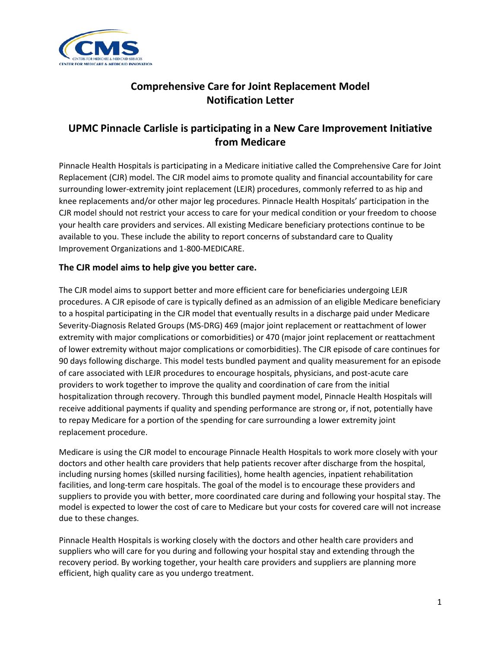

# **Comprehensive Care for Joint Replacement Model Notification Letter**

# **UPMC Pinnacle Carlisle is participating in a New Care Improvement Initiative from Medicare**

Pinnacle Health Hospitals is participating in a Medicare initiative called the Comprehensive Care for Joint Replacement (CJR) model. The CJR model aims to promote quality and financial accountability for care surrounding lower-extremity joint replacement (LEJR) procedures, commonly referred to as hip and knee replacements and/or other major leg procedures. Pinnacle Health Hospitals' participation in the CJR model should not restrict your access to care for your medical condition or your freedom to choose your health care providers and services. All existing Medicare beneficiary protections continue to be available to you. These include the ability to report concerns of substandard care to Quality Improvement Organizations and 1-800-MEDICARE.

### **The CJR model aims to help give you better care.**

The CJR model aims to support better and more efficient care for beneficiaries undergoing LEJR procedures. A CJR episode of care is typically defined as an admission of an eligible Medicare beneficiary to a hospital participating in the CJR model that eventually results in a discharge paid under Medicare Severity-Diagnosis Related Groups (MS-DRG) 469 (major joint replacement or reattachment of lower extremity with major complications or comorbidities) or 470 (major joint replacement or reattachment of lower extremity without major complications or comorbidities). The CJR episode of care continues for 90 days following discharge. This model tests bundled payment and quality measurement for an episode of care associated with LEJR procedures to encourage hospitals, physicians, and post-acute care providers to work together to improve the quality and coordination of care from the initial hospitalization through recovery. Through this bundled payment model, Pinnacle Health Hospitals will receive additional payments if quality and spending performance are strong or, if not, potentially have to repay Medicare for a portion of the spending for care surrounding a lower extremity joint replacement procedure.

Medicare is using the CJR model to encourage Pinnacle Health Hospitals to work more closely with your doctors and other health care providers that help patients recover after discharge from the hospital, including nursing homes (skilled nursing facilities), home health agencies, inpatient rehabilitation facilities, and long-term care hospitals. The goal of the model is to encourage these providers and suppliers to provide you with better, more coordinated care during and following your hospital stay. The model is expected to lower the cost of care to Medicare but your costs for covered care will not increase due to these changes.

Pinnacle Health Hospitals is working closely with the doctors and other health care providers and suppliers who will care for you during and following your hospital stay and extending through the recovery period. By working together, your health care providers and suppliers are planning more efficient, high quality care as you undergo treatment.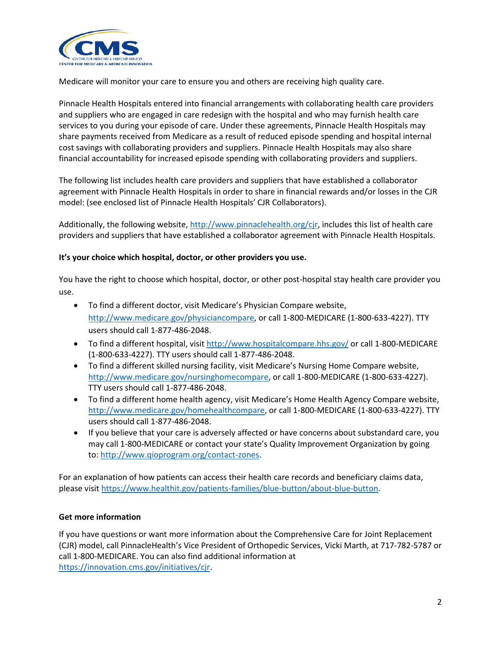

Medicare will monitor your care to ensure you and others are receiving high quality care.

Pinnacle Health Hospitals entered into financial arrangements with collaborating health care providers and suppliers who are engaged in care redesign with the hospital and who may furnish health care services to you during your episode of care. Under these agreements, Pinnacle Health Hospitals may share payments received from Medicare as a result of reduced episode spending and hospital internal cost savings with collaborating providers and suppliers. Pinnacle Health Hospitals may also share financial accountability for increased episode spending with collaborating providers and suppliers.

The following list includes health care providers and suppliers that have established a collaborator agreement with Pinnacle Health Hospitals in order to share in financial rewards and/or losses in the CJR model: (see enclosed list of Pinnacle Health Hospitals' CJR Collaborators).

Additionally, the following website,<http://www.pinnaclehealth.org/>cjr, includes this list of health care providers and suppliers that have established a collaborator agreement with Pinnacle Health Hospitals.

#### **It's your choice which hospital, doctor, or other providers you use.**

You have the right to choose which hospital, doctor, or other post-hospital stay health care provider you use.

- To find a different doctor, visit Medicare's Physician Compare website, [http://www.medicare.gov/physiciancompare,](http://www.medicare.gov/physiciancompare) or call 1-800-MEDICARE (1-800-633-4227). TTY users should call 1-877-486-2048.
- To find a different hospital, visi[t http://www.hospitalcompare.hhs.gov/](http://www.hospitalcompare.hhs.gov/) or call 1-800-MEDICARE (1-800-633-4227). TTY users should call 1-877-486-2048.
- To find a different skilled nursing facility, visit Medicare's Nursing Home Compare website, [http://www.medicare.gov/nursinghomecompare,](http://www.medicare.gov/nursinghomecompare) or call 1-800-MEDICARE (1-800-633-4227). TTY users should call 1-877-486-2048.
- To find a different home health agency, visit Medicare's Home Health Agency Compare website, [http://www.medicare.gov/homehealthcompare,](http://www.medicare.gov/homehealthcompare) or call 1-800-MEDICARE (1-800-633-4227). TTY users should call 1-877-486-2048.
- If you believe that your care is adversely affected or have concerns about substandard care, you may call 1-800-MEDICARE or contact your state's Quality Improvement Organization by going to: [http://www.qioprogram.org/contact-zones.](http://www.qioprogram.org/contact-zones)

For an explanation of how patients can access their health care records and beneficiary claims data, please visit [https://www.healthit.gov/patients-families/blue-button/about-blue-button.](https://www.healthit.gov/patients-families/blue-button/about-blue-button)

#### **Get more information**

If you have questions or want more information about the Comprehensive Care for Joint Replacement (CJR) model, call PinnacleHealth's Vice President of Orthopedic Services, Vicki Marth, at 717-782-5787 or call 1-800-MEDICARE. You can also find additional information at [https://innovation.cms.gov/initiatives/cjr.](https://innovation.cms.gov/initiatives/cjr)